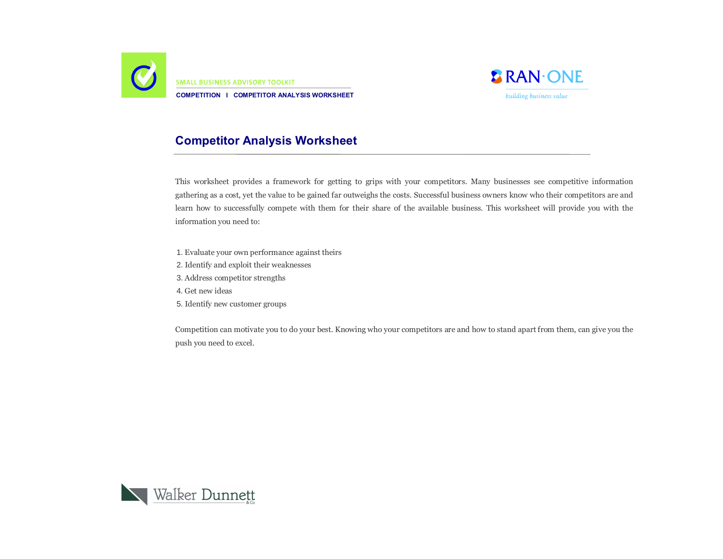

**SMALL BUSINESS ADVISORY TOOLKIT COMPETITION I COMPETITOR ANALYSIS WORKSHEET**



# **Competitor Analysis Worksheet**

This worksheet provides a framework for getting to grips with your competitors. Many businesses see competitive information gathering as a cost, yet the value to be gained far outweighs the costs. Successful business owners know who their competitors are and learn how to successfully compete with them for their share of the available business. This worksheet will provide you with the information you need to:

- 1. Evaluate your own performance against theirs
- 2. Identify and exploit their weaknesses
- 3. Address competitor strengths
- 4. Get new ideas
- 5. Identify new customer groups

Competition can motivate you to do your best. Knowing who your competitors are and how to stand apart from them, can give you the push you need to excel.

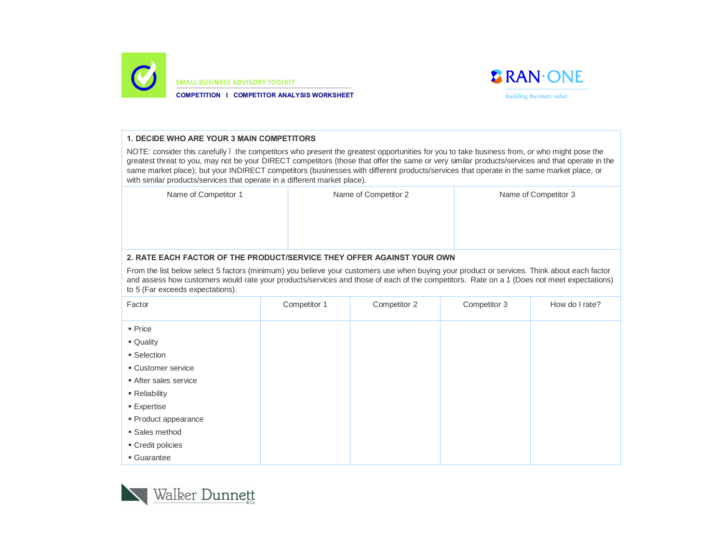

**SMALL BUSINESS ADVISORY TOOLKIT** 

**COMPETITION I COMPETITOR ANALYSIS WORKSHEET**



#### **1. DECIDE WHO ARE YOUR 3 MAIN COMPETITORS**

NOTE: consider this carefully . the competitors who present the greatest opportunities for you to take business from, or who might pose the greatest threat to you, may not be your DIRECT competitors (those that offer the same or very similar products/services and that operate in the same market place); but your INDIRECT competitors (businesses with different products/services that operate in the same market place, or with similar products/services that operate in a different market place).

Name of Competitor 1 Name of Competitor 3 Name of Competitor 3

## **2. RATE EACH FACTOR OF THE PRODUCT/SERVICE THEY OFFER AGAINST YOUR OWN**

From the list below select 5 factors (minimum) you believe your customers use when buying your product or services. Think about each factor and assess how customers would rate your products/services and those of each of the competitors. Rate on a 1 (Does not meet expectations) to 5 (Far exceeds expectations).

| Factor               | Competitor 1 | Competitor 2 | Competitor 3 | How do I rate? |
|----------------------|--------------|--------------|--------------|----------------|
| $•$ Price            |              |              |              |                |
| • Quality            |              |              |              |                |
| • Selection          |              |              |              |                |
| ■ Customer service   |              |              |              |                |
| After sales service  |              |              |              |                |
| - Reliability        |              |              |              |                |
| <b>Expertise</b>     |              |              |              |                |
| · Product appearance |              |              |              |                |
| • Sales method       |              |              |              |                |
| ■ Credit policies    |              |              |              |                |
| • Guarantee          |              |              |              |                |

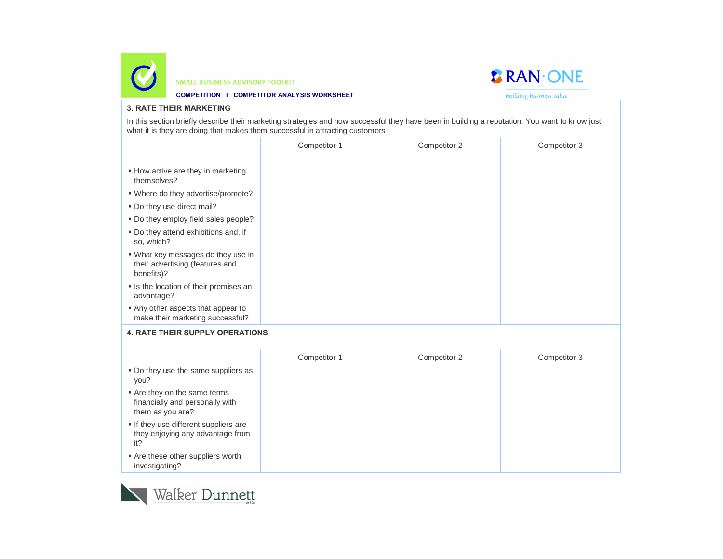



**COMPETITION I COMPETITOR ANALYSIS WORKSHEET**

building business value

## **3. RATE THEIR MARKETING**

In this section briefly describe their marketing strategies and how successful they have been in building a reputation. You want to know just what it is they are doing that makes them successful in attracting customers

|                                                                                     | Competitor 1 | Competitor 2 | Competitor 3 |
|-------------------------------------------------------------------------------------|--------------|--------------|--------------|
| • How active are they in marketing<br>themselves?                                   |              |              |              |
| . Where do they advertise/promote?                                                  |              |              |              |
| . Do they use direct mail?                                                          |              |              |              |
| . Do they employ field sales people?                                                |              |              |              |
| . Do they attend exhibitions and, if<br>so, which?                                  |              |              |              |
| . What key messages do they use in<br>their advertising (features and<br>benefits)? |              |              |              |
| Is the location of their premises an<br>advantage?                                  |              |              |              |
| Any other aspects that appear to<br>make their marketing successful?                |              |              |              |
| <b>4. RATE THEIR SUPPLY OPERATIONS</b>                                              |              |              |              |
|                                                                                     | Competitor 1 | Competitor 2 | Competitor 3 |
| . Do they use the same suppliers as<br>you?                                         |              |              |              |
| Are they on the same terms<br>financially and personally with<br>them as you are?   |              |              |              |
| $\blacksquare$ If thoy year different eyepliers are                                 |              |              |              |

- If they use different suppliers are they enjoying any advantage from it?
- Are these other suppliers worth investigating?

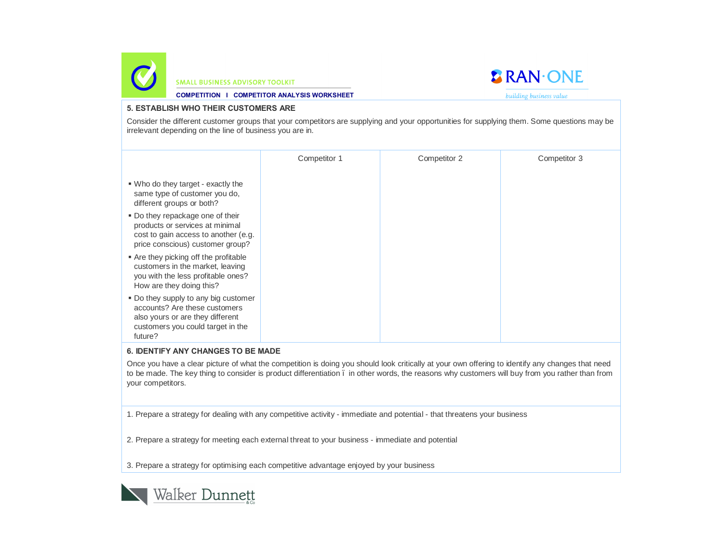



**COMPETITION I COMPETITOR ANALYSIS WORKSHEET**

building business value

#### **5. ESTABLISH WHO THEIR CUSTOMERS ARE**

Consider the different customer groups that your competitors are supplying and your opportunities for supplying them. Some questions may be irrelevant depending on the line of business you are in.

|                                                                                                                                                           | Competitor 1 | Competitor 2 | Competitor 3 |
|-----------------------------------------------------------------------------------------------------------------------------------------------------------|--------------|--------------|--------------|
| • Who do they target - exactly the<br>same type of customer you do,<br>different groups or both?                                                          |              |              |              |
| • Do they repackage one of their<br>products or services at minimal<br>cost to gain access to another (e.g.<br>price conscious) customer group?           |              |              |              |
| Are they picking off the profitable<br>customers in the market, leaving<br>you with the less profitable ones?<br>How are they doing this?                 |              |              |              |
| • Do they supply to any big customer<br>accounts? Are these customers<br>also yours or are they different<br>customers you could target in the<br>future? |              |              |              |

### **6. IDENTIFY ANY CHANGES TO BE MADE**

Once you have a clear picture of what the competition is doing you should look critically at your own offering to identify any changes that need to be made. The key thing to consider is product differentiation . in other words, the reasons why customers will buy from you rather than from your competitors.

1. Prepare a strategy for dealing with any competitive activity - immediate and potential - that threatens your business

2. Prepare a strategy for meeting each external threat to your business - immediate and potential

3. Prepare a strategy for optimising each competitive advantage enjoyed by your business